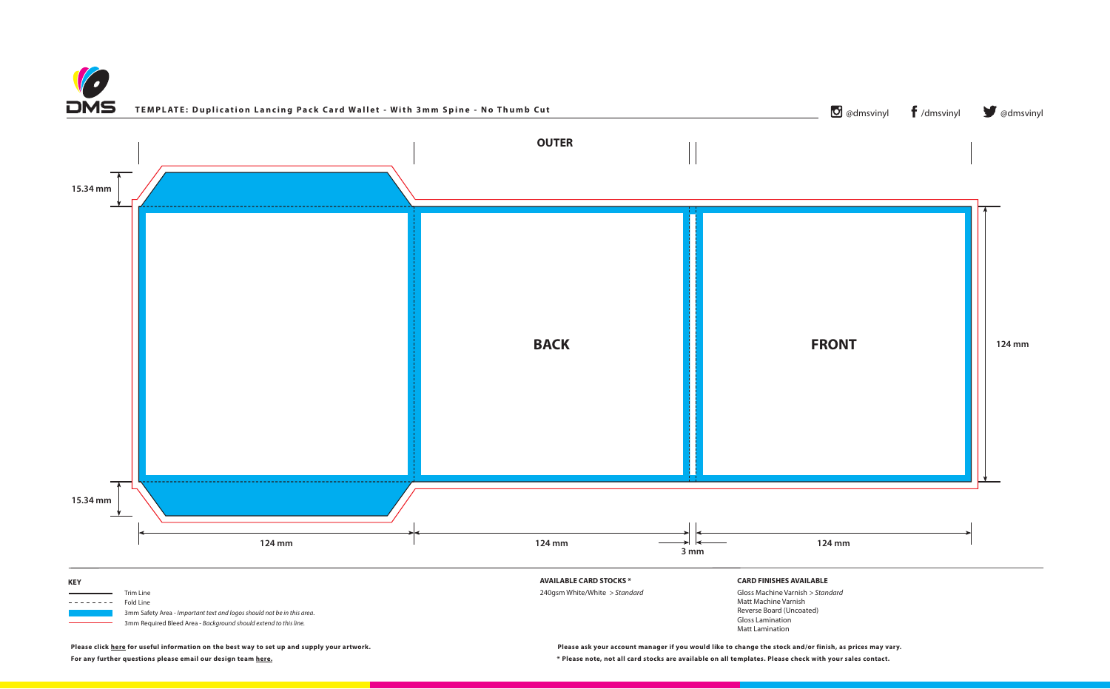



**For any further questions please email our design team [here.](mailto:graphics%40discmanufacturingservices.com?subject=Template%20Enquiry) \* Please note, not all card stocks are available on all templates. Please check with your sales contact.**